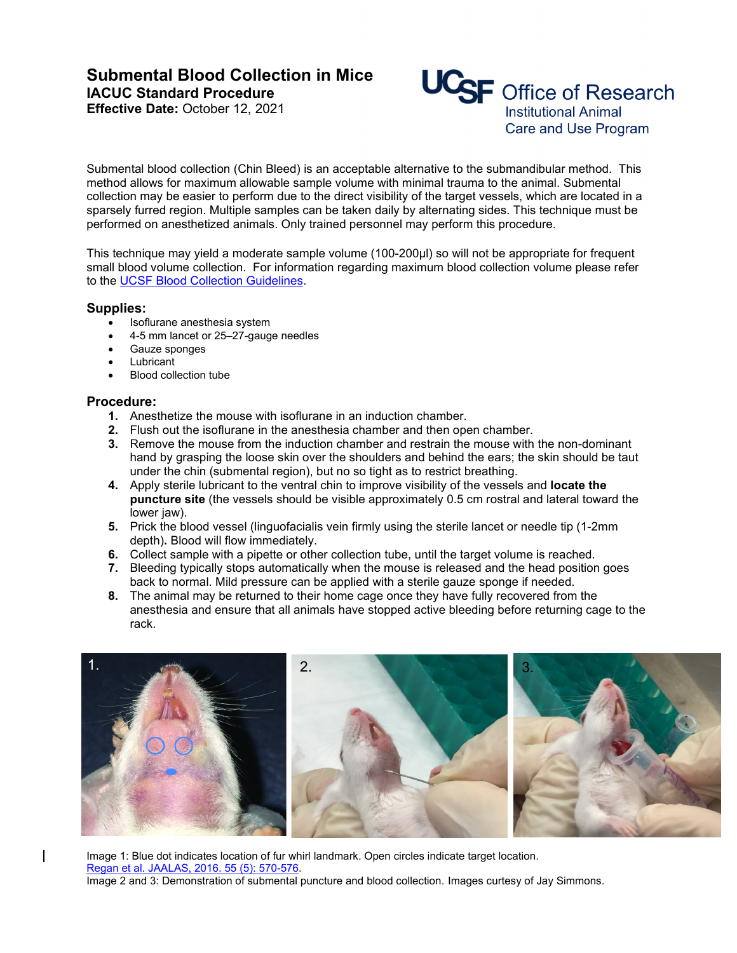# **Submental Blood Collection in Mice IACUC Standard Procedure**

**Effective Date:** October 12, 2021



Submental blood collection (Chin Bleed) is an acceptable alternative to the submandibular method. This method allows for maximum allowable sample volume with minimal trauma to the animal. Submental collection may be easier to perform due to the direct visibility of the target vessels, which are located in a sparsely furred region. Multiple samples can be taken daily by alternating sides. This technique must be performed on anesthetized animals. Only trained personnel may perform this procedure.

This technique may yield a moderate sample volume (100-200µl) so will not be appropriate for frequent small blood volume collection. For information regarding maximum blood collection volume please refer to the [UCSF Blood Collection Guidelines.](https://iacuc.ucsf.edu/sites/g/files/tkssra751/f/wysiwyg/GUIDELINE%20-%20Blood%20Collection%20-%20The%20Mouse.pdf)

## **Supplies:**

- Isoflurane anesthesia system
- 4-5 mm lancet or 25–27-gauge needles
- Gauze sponges
- **Lubricant**
- Blood collection tube

## **Procedure:**

- **1.** Anesthetize the mouse with isoflurane in an induction chamber.
- **2.** Flush out the isoflurane in the anesthesia chamber and then open chamber.
- **3.** Remove the mouse from the induction chamber and restrain the mouse with the non-dominant hand by grasping the loose skin over the shoulders and behind the ears; the skin should be taut under the chin (submental region), but no so tight as to restrict breathing.
- **4.** Apply sterile lubricant to the ventral chin to improve visibility of the vessels and **locate the puncture site** (the vessels should be visible approximately 0.5 cm rostral and lateral toward the lower jaw).
- **5.** Prick the blood vessel (linguofacialis vein firmly using the sterile lancet or needle tip (1-2mm depth)**.** Blood will flow immediately.
- **6.** Collect sample with a pipette or other collection tube, until the target volume is reached.
- **7.** Bleeding typically stops automatically when the mouse is released and the head position goes back to normal. Mild pressure can be applied with a sterile gauze sponge if needed.
- **8.** The animal may be returned to their home cage once they have fully recovered from the anesthesia and ensure that all animals have stopped active bleeding before returning cage to the rack.



Image 1: Blue dot indicates location of fur whirl landmark. Open circles indicate target location. Regan et [al. JAALAS, 2016. 55 \(5\): 570-576.](https://www.ncbi.nlm.nih.gov/pmc/articles/PMC5029828/) Image 2 and 3: Demonstration of submental puncture and blood collection. Images curtesy of Jay Simmons.